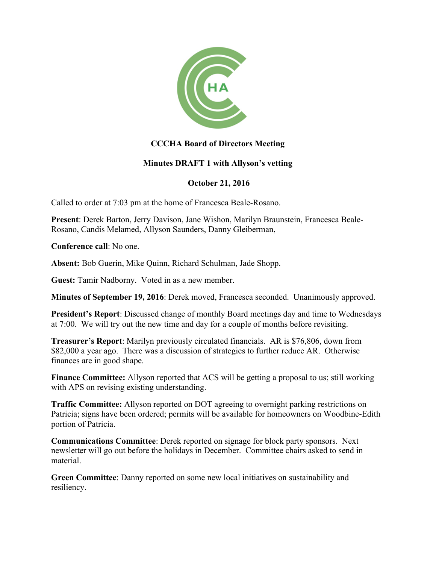

## **CCCHA Board of Directors Meeting**

## **Minutes DRAFT 1 with Allyson's vetting**

## **October 21, 2016**

Called to order at 7:03 pm at the home of Francesca Beale-Rosano.

**Present**: Derek Barton, Jerry Davison, Jane Wishon, Marilyn Braunstein, Francesca Beale-Rosano, Candis Melamed, Allyson Saunders, Danny Gleiberman,

**Conference call**: No one.

**Absent:** Bob Guerin, Mike Quinn, Richard Schulman, Jade Shopp.

**Guest:** Tamir Nadborny. Voted in as a new member.

**Minutes of September 19, 2016**: Derek moved, Francesca seconded. Unanimously approved.

**President's Report**: Discussed change of monthly Board meetings day and time to Wednesdays at 7:00. We will try out the new time and day for a couple of months before revisiting.

**Treasurer's Report**: Marilyn previously circulated financials. AR is \$76,806, down from \$82,000 a year ago. There was a discussion of strategies to further reduce AR. Otherwise finances are in good shape.

**Finance Committee:** Allyson reported that ACS will be getting a proposal to us; still working with APS on revising existing understanding.

**Traffic Committee:** Allyson reported on DOT agreeing to overnight parking restrictions on Patricia; signs have been ordered; permits will be available for homeowners on Woodbine-Edith portion of Patricia.

**Communications Committee**: Derek reported on signage for block party sponsors. Next newsletter will go out before the holidays in December. Committee chairs asked to send in material.

**Green Committee**: Danny reported on some new local initiatives on sustainability and resiliency.